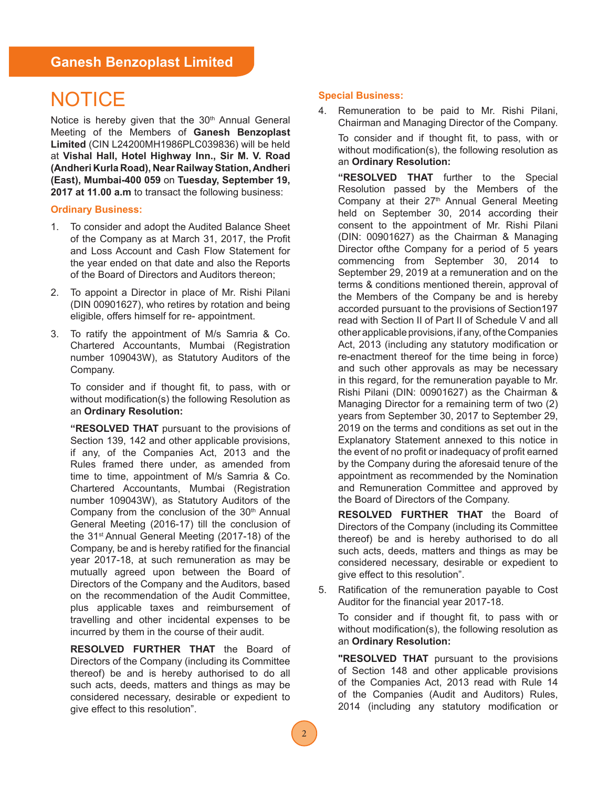### **Ganesh Benzoplast Limited**

# **NOTICE**

Notice is hereby given that the 30<sup>th</sup> Annual General Meeting of the Members of **Ganesh Benzoplast Limited** (CIN L24200MH1986PLC039836) will be held at **Vishal Hall, Hotel Highway Inn., Sir M. V. Road (Andheri Kurla Road), Near Railway Station, Andheri (East), Mumbai-400 059** on **Tuesday, September 19, 2017 at 11.00 a.m** to transact the following business:

### **Ordinary Business:**

- 1. To consider and adopt the Audited Balance Sheet of the Company as at March 31, 2017, the Profit and Loss Account and Cash Flow Statement for the year ended on that date and also the Reports of the Board of Directors and Auditors thereon;
- 2. To appoint a Director in place of Mr. Rishi Pilani (DIN 00901627), who retires by rotation and being eligible, offers himself for re- appointment.
- 3. To ratify the appointment of M/s Samria & Co. Chartered Accountants, Mumbai (Registration number 109043W), as Statutory Auditors of the Company.

To consider and if thought fit, to pass, with or without modification(s) the following Resolution as an **Ordinary Resolution:**

**"RESOLVED THAT** pursuant to the provisions of Section 139, 142 and other applicable provisions, if any, of the Companies Act, 2013 and the Rules framed there under, as amended from time to time, appointment of M/s Samria & Co. Chartered Accountants, Mumbai (Registration number 109043W), as Statutory Auditors of the Company from the conclusion of the  $30<sup>th</sup>$  Annual General Meeting (2016-17) till the conclusion of the 31<sup>st</sup> Annual General Meeting (2017-18) of the Company, be and is hereby ratified for the financial year 2017-18, at such remuneration as may be mutually agreed upon between the Board of Directors of the Company and the Auditors, based on the recommendation of the Audit Committee, plus applicable taxes and reimbursement of travelling and other incidental expenses to be incurred by them in the course of their audit.

**RESOLVED FURTHER THAT** the Board of Directors of the Company (including its Committee thereof) be and is hereby authorised to do all such acts, deeds, matters and things as may be considered necessary, desirable or expedient to give effect to this resolution".

### **Special Business:**

4. Remuneration to be paid to Mr. Rishi Pilani, Chairman and Managing Director of the Company.

To consider and if thought fit, to pass, with or without modification(s), the following resolution as an **Ordinary Resolution:**

**"RESOLVED THAT** further to the Special Resolution passed by the Members of the Company at their 27<sup>th</sup> Annual General Meeting held on September 30, 2014 according their consent to the appointment of Mr. Rishi Pilani (DIN: 00901627) as the Chairman & Managing Director ofthe Company for a period of 5 years commencing from September 30, 2014 to September 29, 2019 at a remuneration and on the terms & conditions mentioned therein, approval of the Members of the Company be and is hereby accorded pursuant to the provisions of Section197 read with Section II of Part II of Schedule V and all other applicable provisions, if any, of the Companies Act, 2013 (including any statutory modification or re-enactment thereof for the time being in force) and such other approvals as may be necessary in this regard, for the remuneration payable to Mr. Rishi Pilani (DIN: 00901627) as the Chairman & Managing Director for a remaining term of two (2) years from September 30, 2017 to September 29, 2019 on the terms and conditions as set out in the Explanatory Statement annexed to this notice in the event of no profit or inadequacy of profit earned by the Company during the aforesaid tenure of the appointment as recommended by the Nomination and Remuneration Committee and approved by the Board of Directors of the Company.

**RESOLVED FURTHER THAT** the Board of Directors of the Company (including its Committee thereof) be and is hereby authorised to do all such acts, deeds, matters and things as may be considered necessary, desirable or expedient to give effect to this resolution".

5. Ratification of the remuneration payable to Cost Auditor for the financial year 2017-18.

To consider and if thought fit, to pass with or without modification(s), the following resolution as an **Ordinary Resolution:**

**"RESOLVED THAT** pursuant to the provisions of Section 148 and other applicable provisions of the Companies Act, 2013 read with Rule 14 of the Companies (Audit and Auditors) Rules, 2014 (including any statutory modification or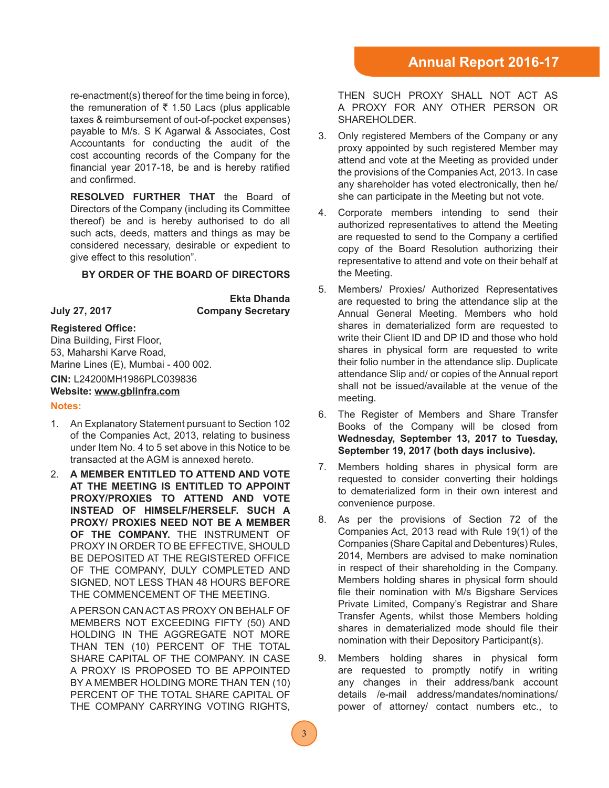re-enactment(s) thereof for the time being in force), the remuneration of  $\bar{\tau}$  1.50 Lacs (plus applicable taxes & reimbursement of out-of-pocket expenses) payable to M/s. S K Agarwal & Associates, Cost Accountants for conducting the audit of the cost accounting records of the Company for the financial year 2017-18, be and is hereby ratified and confirmed.

**RESOLVED FURTHER THAT** the Board of Directors of the Company (including its Committee thereof) be and is hereby authorised to do all such acts, deeds, matters and things as may be considered necessary, desirable or expedient to give effect to this resolution".

### **BY ORDER OF THE BOARD OF DIRECTORS**

**Ekta Dhanda July 27, 2017 Company Secretary**

#### **Registered Office:**

Dina Building, First Floor, 53, Maharshi Karve Road, Marine Lines (E), Mumbai - 400 002.

# **CIN:** L24200MH1986PLC039836

### **Website: www.gblinfra.com**

#### **Notes:**

- 1. An Explanatory Statement pursuant to Section 102 of the Companies Act, 2013, relating to business under Item No. 4 to 5 set above in this Notice to be transacted at the AGM is annexed hereto.
- 2. **A MEMBER ENTITLED TO ATTEND AND VOTE AT THE MEETING IS ENTITLED TO APPOINT PROXY/PROXIES TO ATTEND AND VOTE INSTEAD OF HIMSELF/HERSELF. SUCH A PROXY/ PROXIES NEED NOT BE A MEMBER OF THE COMPANY.** THE INSTRUMENT OF PROXY IN ORDER TO BE EFFECTIVE, SHOULD BE DEPOSITED AT THE REGISTERED OFFICE OF THE COMPANY, DULY COMPLETED AND SIGNED, NOT LESS THAN 48 HOURS BEFORE THE COMMENCEMENT OF THE MEETING.

 A PERSON CAN ACT AS PROXY ON BEHALF OF MEMBERS NOT EXCEEDING FIFTY (50) AND HOLDING IN THE AGGREGATE NOT MORE THAN TEN (10) PERCENT OF THE TOTAL SHARE CAPITAL OF THE COMPANY. IN CASE A PROXY IS PROPOSED TO BE APPOINTED BY A MEMBER HOLDING MORE THAN TEN (10) PERCENT OF THE TOTAL SHARE CAPITAL OF THE COMPANY CARRYING VOTING RIGHTS,

THEN SUCH PROXY SHALL NOT ACT AS A PROXY FOR ANY OTHER PERSON OR SHAREHOLDER.

- 3. Only registered Members of the Company or any proxy appointed by such registered Member may attend and vote at the Meeting as provided under the provisions of the Companies Act, 2013. In case any shareholder has voted electronically, then he/ she can participate in the Meeting but not vote.
- 4. Corporate members intending to send their authorized representatives to attend the Meeting are requested to send to the Company a certified copy of the Board Resolution authorizing their representative to attend and vote on their behalf at the Meeting.
- 5. Members/ Proxies/ Authorized Representatives are requested to bring the attendance slip at the Annual General Meeting. Members who hold shares in dematerialized form are requested to write their Client ID and DP ID and those who hold shares in physical form are requested to write their folio number in the attendance slip. Duplicate attendance Slip and/ or copies of the Annual report shall not be issued/available at the venue of the meeting.
- 6. The Register of Members and Share Transfer Books of the Company will be closed from **Wednesday, September 13, 2017 to Tuesday, September 19, 2017 (both days inclusive).**
- 7. Members holding shares in physical form are requested to consider converting their holdings to dematerialized form in their own interest and convenience purpose.
- 8. As per the provisions of Section 72 of the Companies Act, 2013 read with Rule 19(1) of the Companies (Share Capital and Debentures) Rules, 2014, Members are advised to make nomination in respect of their shareholding in the Company. Members holding shares in physical form should file their nomination with M/s Bigshare Services Private Limited, Company's Registrar and Share Transfer Agents, whilst those Members holding shares in dematerialized mode should file their nomination with their Depository Participant(s).
- 9. Members holding shares in physical form are requested to promptly notify in writing any changes in their address/bank account details /e-mail address/mandates/nominations/ power of attorney/ contact numbers etc., to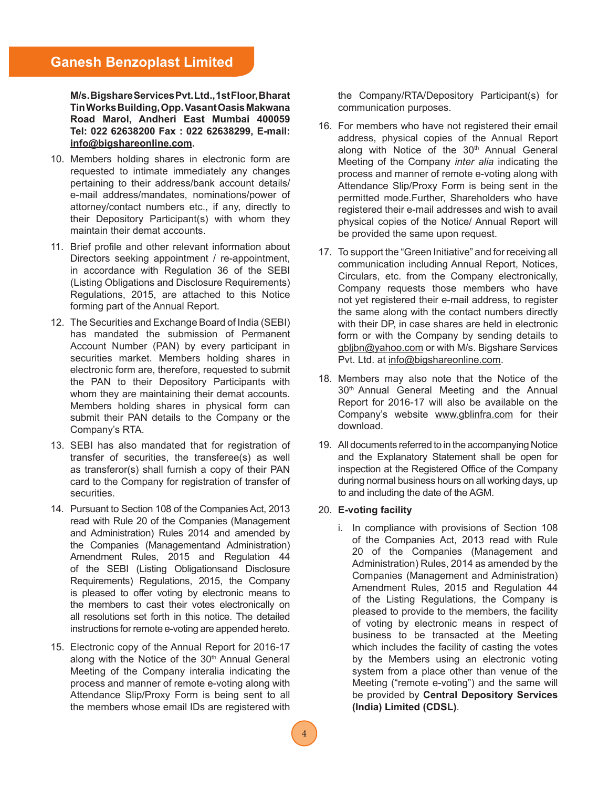**M/s. Bigshare Services Pvt. Ltd., 1st Floor, Bharat Tin Works Building, Opp. Vasant Oasis Makwana Road Marol, Andheri East Mumbai 400059 Tel: 022 62638200 Fax : 022 62638299, E-mail: info@bigshareonline.com.**

- 10. Members holding shares in electronic form are requested to intimate immediately any changes pertaining to their address/bank account details/ e-mail address/mandates, nominations/power of attorney/contact numbers etc., if any, directly to their Depository Participant(s) with whom they maintain their demat accounts.
- 11. Brief profile and other relevant information about Directors seeking appointment / re-appointment, in accordance with Regulation 36 of the SEBI (Listing Obligations and Disclosure Requirements) Regulations, 2015, are attached to this Notice forming part of the Annual Report.
- 12. The Securities and Exchange Board of India (SEBI) has mandated the submission of Permanent Account Number (PAN) by every participant in securities market. Members holding shares in electronic form are, therefore, requested to submit the PAN to their Depository Participants with whom they are maintaining their demat accounts. Members holding shares in physical form can submit their PAN details to the Company or the Company's RTA.
- 13. SEBI has also mandated that for registration of transfer of securities, the transferee(s) as well as transferor(s) shall furnish a copy of their PAN card to the Company for registration of transfer of securities.
- 14. Pursuant to Section 108 of the Companies Act, 2013 read with Rule 20 of the Companies (Management and Administration) Rules 2014 and amended by the Companies (Managementand Administration) Amendment Rules, 2015 and Regulation 44 of the SEBI (Listing Obligationsand Disclosure Requirements) Regulations, 2015, the Company is pleased to offer voting by electronic means to the members to cast their votes electronically on all resolutions set forth in this notice. The detailed instructions for remote e-voting are appended hereto.
- 15. Electronic copy of the Annual Report for 2016-17 along with the Notice of the 30<sup>th</sup> Annual General Meeting of the Company interalia indicating the process and manner of remote e-voting along with Attendance Slip/Proxy Form is being sent to all the members whose email IDs are registered with

the Company/RTA/Depository Participant(s) for communication purposes.

- 16. For members who have not registered their email address, physical copies of the Annual Report along with Notice of the 30<sup>th</sup> Annual General Meeting of the Company *inter alia* indicating the process and manner of remote e-voting along with Attendance Slip/Proxy Form is being sent in the permitted mode.Further, Shareholders who have registered their e-mail addresses and wish to avail physical copies of the Notice/ Annual Report will be provided the same upon request.
- 17. To support the "Green Initiative" and for receiving all communication including Annual Report, Notices, Circulars, etc. from the Company electronically, Company requests those members who have not yet registered their e-mail address, to register the same along with the contact numbers directly with their DP, in case shares are held in electronic form or with the Company by sending details to gbljbn@yahoo.com or with M/s. Bigshare Services Pvt. Ltd. at info@bigshareonline.com.
- 18. Members may also note that the Notice of the 30<sup>th</sup> Annual General Meeting and the Annual Report for 2016-17 will also be available on the Company's website www.gblinfra.com for their download.
- 19. All documents referred to in the accompanying Notice and the Explanatory Statement shall be open for inspection at the Registered Office of the Company during normal business hours on all working days, up to and including the date of the AGM.

### 20. **E-voting facility**

 i. In compliance with provisions of Section 108 of the Companies Act, 2013 read with Rule 20 of the Companies (Management and Administration) Rules, 2014 as amended by the Companies (Management and Administration) Amendment Rules, 2015 and Regulation 44 of the Listing Regulations, the Company is pleased to provide to the members, the facility of voting by electronic means in respect of business to be transacted at the Meeting which includes the facility of casting the votes by the Members using an electronic voting system from a place other than venue of the Meeting ("remote e-voting") and the same will be provided by **Central Depository Services (India) Limited (CDSL)**.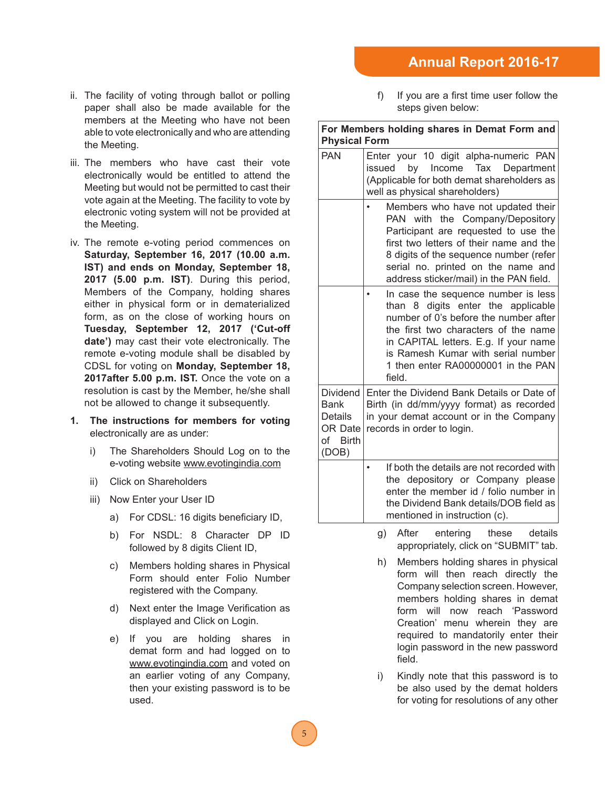## **Annual Report 2016-17**

- ii. The facility of voting through ballot or polling paper shall also be made available for the members at the Meeting who have not been able to vote electronically and who are attending the Meeting.
- iii. The members who have cast their vote electronically would be entitled to attend the Meeting but would not be permitted to cast their vote again at the Meeting. The facility to vote by electronic voting system will not be provided at the Meeting.
- iv. The remote e-voting period commences on **Saturday, September 16, 2017 (10.00 a.m. IST) and ends on Monday, September 18, 2017 (5.00 p.m. IST)**. During this period, Members of the Company, holding shares either in physical form or in dematerialized form, as on the close of working hours on **Tuesday, September 12, 2017 ('Cut-off date')** may cast their vote electronically. The remote e-voting module shall be disabled by CDSL for voting on **Monday, September 18, 2017after 5.00 p.m. IST.** Once the vote on a resolution is cast by the Member, he/she shall not be allowed to change it subsequently.
- **1. The instructions for members for voting**  electronically are as under:
	- i) The Shareholders Should Log on to the e-voting website www.evotingindia.com
	- ii) Click on Shareholders
	- iii) Now Enter your User ID
		- a) For CDSL: 16 digits beneficiary ID,
		- b) For NSDL: 8 Character DP ID followed by 8 digits Client ID,
		- c) Members holding shares in Physical Form should enter Folio Number registered with the Company.
		- d) Next enter the Image Verification as displayed and Click on Login.
		- e) If you are holding shares in demat form and had logged on to www.evotingindia.com and voted on an earlier voting of any Company, then your existing password is to be used.

 $\mathbf f$  If you are a first time user follow the steps given below:

### **For Members holding shares in Demat Form and Physical Form**

| ווווט ו וושטופעוו ו                                                              |                                                                                                                                                                                                                                                                                           |
|----------------------------------------------------------------------------------|-------------------------------------------------------------------------------------------------------------------------------------------------------------------------------------------------------------------------------------------------------------------------------------------|
| <b>PAN</b>                                                                       | Enter your 10 digit alpha-numeric PAN<br>by Income Tax<br>issued<br>Department<br>(Applicable for both demat shareholders as<br>well as physical shareholders)                                                                                                                            |
|                                                                                  | Members who have not updated their<br>PAN with the Company/Depository<br>Participant are requested to use the<br>first two letters of their name and the<br>8 digits of the sequence number (refer<br>serial no. printed on the name and<br>address sticker/mail) in the PAN field.       |
|                                                                                  | In case the sequence number is less<br>than 8 digits enter the applicable<br>number of 0's before the number after<br>the first two characters of the name<br>in CAPITAL letters. E.g. If your name<br>is Ramesh Kumar with serial number<br>1 then enter RA00000001 in the PAN<br>field. |
| <b>Dividend</b><br><b>Bank</b><br><b>Details</b><br>OR Date<br>of Birth<br>(DOB) | Enter the Dividend Bank Details or Date of<br>Birth (in dd/mm/yyyy format) as recorded<br>in your demat account or in the Company<br>records in order to login.                                                                                                                           |
|                                                                                  | If both the details are not recorded with<br>$\bullet$<br>the depository or Company please<br>enter the member id / folio number in<br>the Dividend Bank details/DOB field as<br>mentioned in instruction (c).                                                                            |
|                                                                                  | After<br>entering<br>these<br>details<br>g)<br>appropriately, click on "SUBMIT" tab.                                                                                                                                                                                                      |
|                                                                                  | h)<br>Members holding shares in physical<br>form will then reach directly the                                                                                                                                                                                                             |

- form will then reach directly the Company selection screen. However, members holding shares in demat form will now reach 'Password Creation' menu wherein they are required to mandatorily enter their login password in the new password field.
- i) Kindly note that this password is to be also used by the demat holders for voting for resolutions of any other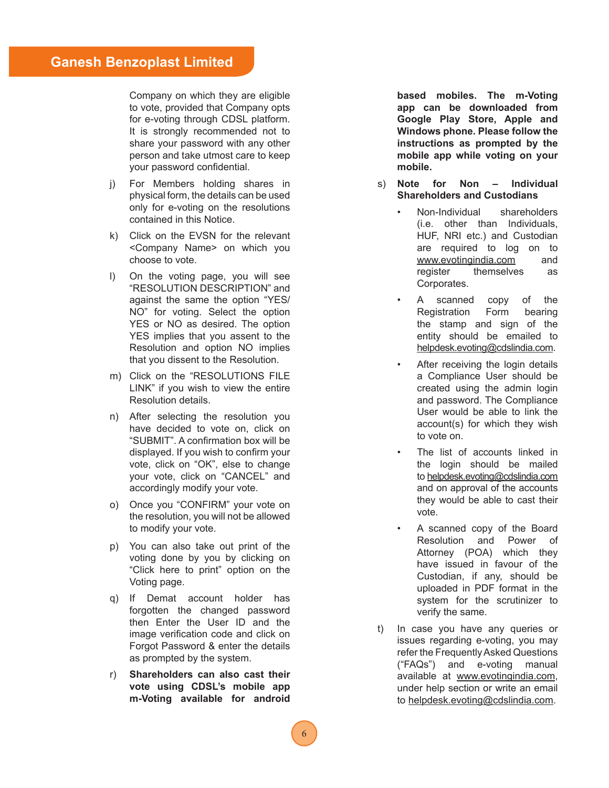Company on which they are eligible to vote, provided that Company opts for e-voting through CDSL platform. It is strongly recommended not to share your password with any other person and take utmost care to keep your password confidential.

- j) For Members holding shares in physical form, the details can be used only for e-voting on the resolutions contained in this Notice.
- k) Click on the EVSN for the relevant <Company Name> on which you choose to vote.
- l) On the voting page, you will see "RESOLUTION DESCRIPTION" and against the same the option "YES/ NO" for voting. Select the option YES or NO as desired. The option YES implies that you assent to the Resolution and option NO implies that you dissent to the Resolution.
- m) Click on the "RESOLUTIONS FILE LINK" if you wish to view the entire Resolution details.
- n) After selecting the resolution you have decided to vote on, click on "SUBMIT". A confirmation box will be displayed. If you wish to confirm your vote, click on "OK", else to change your vote, click on "CANCEL" and accordingly modify your vote.
- o) Once you "CONFIRM" your vote on the resolution, you will not be allowed to modify your vote.
- p) You can also take out print of the voting done by you by clicking on "Click here to print" option on the Voting page.
- q) If Demat account holder has forgotten the changed password then Enter the User ID and the image verification code and click on Forgot Password & enter the details as prompted by the system.
- r) **Shareholders can also cast their vote using CDSL's mobile app m-Voting available for android**

**based mobiles. The m-Voting app can be downloaded from Google Play Store, Apple and Windows phone. Please follow the instructions as prompted by the mobile app while voting on your mobile.**

- s) **Note for Non Individual Shareholders and Custodians**
	- Non-Individual shareholders (i.e. other than Individuals, HUF, NRI etc.) and Custodian are required to log on to www.evotingindia.com and register themselves as Corporates.
	- A scanned copy of the Registration Form bearing the stamp and sign of the entity should be emailed to helpdesk.evoting@cdslindia.com.
	- After receiving the login details a Compliance User should be created using the admin login and password. The Compliance User would be able to link the account(s) for which they wish to vote on.
	- The list of accounts linked in the login should be mailed to helpdesk.evoting@cdslindia.com and on approval of the accounts they would be able to cast their vote.
	- A scanned copy of the Board Resolution and Power of Attorney (POA) which they have issued in favour of the Custodian, if any, should be uploaded in PDF format in the system for the scrutinizer to verify the same.
- t) In case you have any queries or issues regarding e-voting, you may refer the Frequently Asked Questions ("FAQs") and e-voting manual available at www.evotingindia.com, under help section or write an email to helpdesk.evoting@cdslindia.com.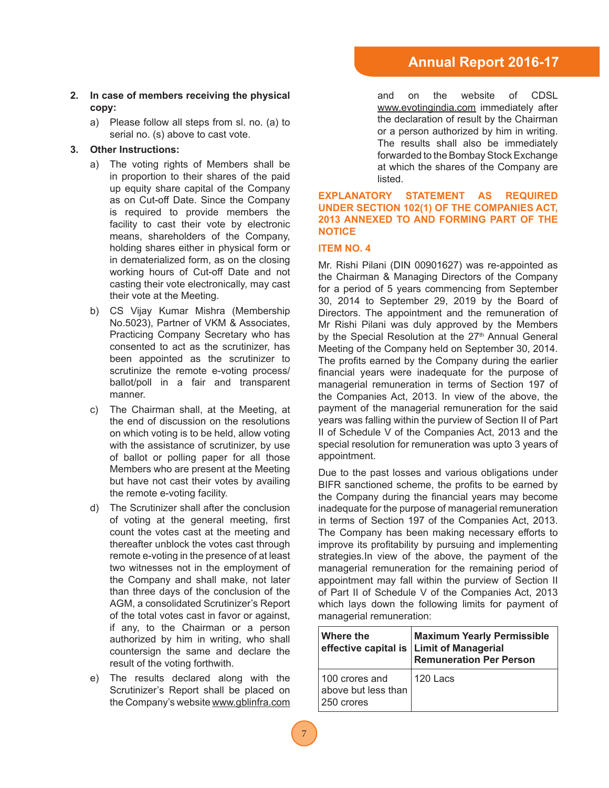### **2. In case of members receiving the physical copy:**

 a) Please follow all steps from sl. no. (a) to serial no. (s) above to cast vote.

### **3. Other Instructions:**

- a) The voting rights of Members shall be in proportion to their shares of the paid up equity share capital of the Company as on Cut-off Date. Since the Company is required to provide members the facility to cast their vote by electronic means, shareholders of the Company, holding shares either in physical form or in dematerialized form, as on the closing working hours of Cut-off Date and not casting their vote electronically, may cast their vote at the Meeting.
- b) CS Vijay Kumar Mishra (Membership No.5023), Partner of VKM & Associates, Practicing Company Secretary who has consented to act as the scrutinizer, has been appointed as the scrutinizer to scrutinize the remote e-voting process/ ballot/poll in a fair and transparent manner.
- c) The Chairman shall, at the Meeting, at the end of discussion on the resolutions on which voting is to be held, allow voting with the assistance of scrutinizer, by use of ballot or polling paper for all those Members who are present at the Meeting but have not cast their votes by availing the remote e-voting facility.
- d) The Scrutinizer shall after the conclusion of voting at the general meeting, first count the votes cast at the meeting and thereafter unblock the votes cast through remote e-voting in the presence of at least two witnesses not in the employment of the Company and shall make, not later than three days of the conclusion of the AGM, a consolidated Scrutinizer's Report of the total votes cast in favor or against, if any, to the Chairman or a person authorized by him in writing, who shall countersign the same and declare the result of the voting forthwith.
- e) The results declared along with the Scrutinizer's Report shall be placed on the Company's website www.gblinfra.com

and on the website of CDSL www.evotingindia.com immediately after the declaration of result by the Chairman or a person authorized by him in writing. The results shall also be immediately forwarded to the Bombay Stock Exchange at which the shares of the Company are listed.

### **EXPLANATORY STATEMENT AS REQUIRED UNDER SECTION 102(1) OF THE COMPANIES ACT, 2013 ANNEXED TO AND FORMING PART OF THE NOTICE**

### **ITEM NO. 4**

Mr. Rishi Pilani (DIN 00901627) was re-appointed as the Chairman & Managing Directors of the Company for a period of 5 years commencing from September 30, 2014 to September 29, 2019 by the Board of Directors. The appointment and the remuneration of Mr Rishi Pilani was duly approved by the Members by the Special Resolution at the 27<sup>th</sup> Annual General Meeting of the Company held on September 30, 2014. The profits earned by the Company during the earlier financial years were inadequate for the purpose of managerial remuneration in terms of Section 197 of the Companies Act, 2013. In view of the above, the payment of the managerial remuneration for the said years was falling within the purview of Section II of Part II of Schedule V of the Companies Act, 2013 and the special resolution for remuneration was upto 3 years of appointment.

Due to the past losses and various obligations under BIFR sanctioned scheme, the profits to be earned by the Company during the financial years may become inadequate for the purpose of managerial remuneration in terms of Section 197 of the Companies Act, 2013. The Company has been making necessary efforts to improve its profitability by pursuing and implementing strategies.In view of the above, the payment of the managerial remuneration for the remaining period of appointment may fall within the purview of Section II of Part II of Schedule V of the Companies Act, 2013 which lays down the following limits for payment of managerial remuneration:

| ∣Where the                                          | <b>Maximum Yearly Permissible</b><br>effective capital is Limit of Managerial<br><b>Remuneration Per Person</b> |
|-----------------------------------------------------|-----------------------------------------------------------------------------------------------------------------|
| 100 crores and<br>above but less than<br>250 crores | 1120 Lacs                                                                                                       |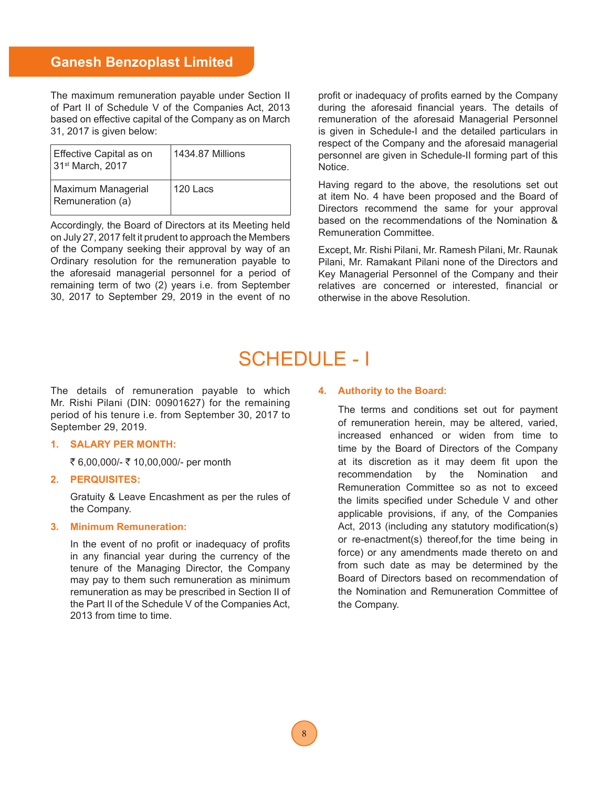## **Ganesh Benzoplast Limited**

The maximum remuneration payable under Section II of Part II of Schedule V of the Companies Act, 2013 based on effective capital of the Company as on March 31, 2017 is given below:

| Effective Capital as on<br>31 <sup>st</sup> March, 2017 | 1434.87 Millions |
|---------------------------------------------------------|------------------|
| Maximum Managerial<br>Remuneration (a)                  | 120 Lacs         |

Accordingly, the Board of Directors at its Meeting held on July 27, 2017 felt it prudent to approach the Members of the Company seeking their approval by way of an Ordinary resolution for the remuneration payable to the aforesaid managerial personnel for a period of remaining term of two (2) years i.e. from September 30, 2017 to September 29, 2019 in the event of no

profit or inadequacy of profits earned by the Company during the aforesaid financial years. The details of remuneration of the aforesaid Managerial Personnel is given in Schedule-I and the detailed particulars in respect of the Company and the aforesaid managerial personnel are given in Schedule-II forming part of this Notice.

Having regard to the above, the resolutions set out at item No. 4 have been proposed and the Board of Directors recommend the same for your approval based on the recommendations of the Nomination & Remuneration Committee.

Except, Mr. Rishi Pilani, Mr. Ramesh Pilani, Mr. Raunak Pilani, Mr. Ramakant Pilani none of the Directors and Key Managerial Personnel of the Company and their relatives are concerned or interested, financial or otherwise in the above Resolution.

# SCHEDULE - I

The details of remuneration payable to which Mr. Rishi Pilani (DIN: 00901627) for the remaining period of his tenure i.e. from September 30, 2017 to September 29, 2019.

### **1. SALARY PER MONTH:**

₹ 6,00,000/- ₹ 10,00,000/- per month

**2. PERQUISITES:**

 Gratuity & Leave Encashment as per the rules of the Company.

### **3. Minimum Remuneration:**

In the event of no profit or inadequacy of profits in any financial year during the currency of the tenure of the Managing Director, the Company may pay to them such remuneration as minimum remuneration as may be prescribed in Section II of the Part II of the Schedule V of the Companies Act, 2013 from time to time.

#### **4. Authority to the Board:**

The terms and conditions set out for payment of remuneration herein, may be altered, varied, increased enhanced or widen from time to time by the Board of Directors of the Company at its discretion as it may deem fit upon the recommendation by the Nomination and Remuneration Committee so as not to exceed the limits specified under Schedule V and other applicable provisions, if any, of the Companies Act, 2013 (including any statutory modification(s) or re-enactment(s) thereof,for the time being in force) or any amendments made thereto on and from such date as may be determined by the Board of Directors based on recommendation of the Nomination and Remuneration Committee of the Company.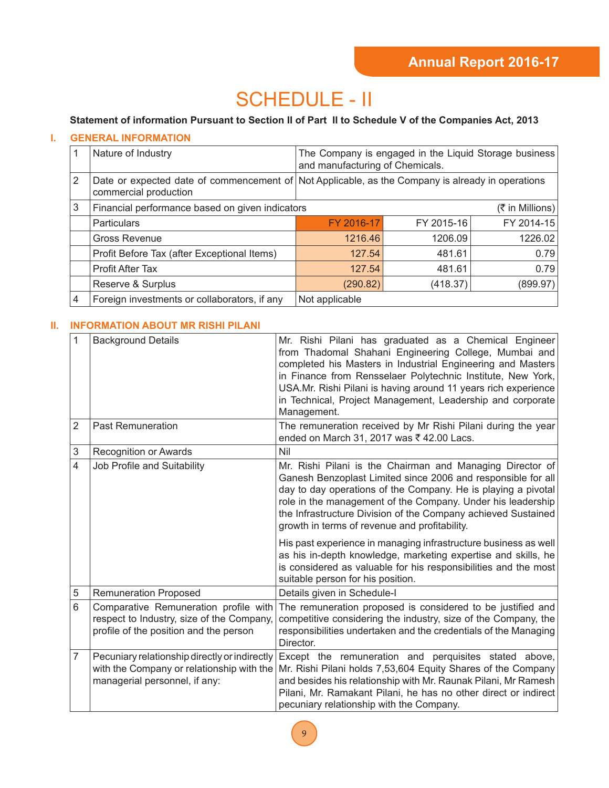# SCHEDULE - II

### **Statement of information Pursuant to Section II of Part II to Schedule V of the Companies Act, 2013**

### **I. GENERAL INFORMATION**

|   | Nature of Industry                                                                                                        | The Company is engaged in the Liquid Storage business<br>and manufacturing of Chemicals. |            |                 |
|---|---------------------------------------------------------------------------------------------------------------------------|------------------------------------------------------------------------------------------|------------|-----------------|
| 2 | Date or expected date of commencement of Not Applicable, as the Company is already in operations<br>commercial production |                                                                                          |            |                 |
| 3 | Financial performance based on given indicators                                                                           |                                                                                          |            | (₹ in Millions) |
|   | Particulars                                                                                                               | FY 2016-17                                                                               | FY 2015-16 | FY 2014-15      |
|   | <b>Gross Revenue</b>                                                                                                      | 1216.46                                                                                  | 1206.09    | 1226.02         |
|   | Profit Before Tax (after Exceptional Items)                                                                               | 127.54                                                                                   | 481.61     | 0.79            |
|   | <b>Profit After Tax</b>                                                                                                   | 127.54                                                                                   | 481.61     | 0.79            |
|   | Reserve & Surplus                                                                                                         | (290.82)                                                                                 | (418.37)   | (899.97)        |
| 4 | Foreign investments or collaborators, if any                                                                              | Not applicable                                                                           |            |                 |

### **II. INFORMATION ABOUT MR RISHI PILANI**

| $\mathbf{1}$   | <b>Background Details</b>                                                                                                    | Mr. Rishi Pilani has graduated as a Chemical Engineer<br>from Thadomal Shahani Engineering College, Mumbai and<br>completed his Masters in Industrial Engineering and Masters<br>in Finance from Rensselaer Polytechnic Institute, New York,<br>USA.Mr. Rishi Pilani is having around 11 years rich experience<br>in Technical, Project Management, Leadership and corporate<br>Management.                                                                                                                                                                                                                             |
|----------------|------------------------------------------------------------------------------------------------------------------------------|-------------------------------------------------------------------------------------------------------------------------------------------------------------------------------------------------------------------------------------------------------------------------------------------------------------------------------------------------------------------------------------------------------------------------------------------------------------------------------------------------------------------------------------------------------------------------------------------------------------------------|
| $\overline{2}$ | <b>Past Remuneration</b>                                                                                                     | The remuneration received by Mr Rishi Pilani during the year<br>ended on March 31, 2017 was ₹ 42.00 Lacs.                                                                                                                                                                                                                                                                                                                                                                                                                                                                                                               |
| 3              | <b>Recognition or Awards</b>                                                                                                 | Nil                                                                                                                                                                                                                                                                                                                                                                                                                                                                                                                                                                                                                     |
| 4              | Job Profile and Suitability                                                                                                  | Mr. Rishi Pilani is the Chairman and Managing Director of<br>Ganesh Benzoplast Limited since 2006 and responsible for all<br>day to day operations of the Company. He is playing a pivotal<br>role in the management of the Company. Under his leadership<br>the Infrastructure Division of the Company achieved Sustained<br>growth in terms of revenue and profitability.<br>His past experience in managing infrastructure business as well<br>as his in-depth knowledge, marketing expertise and skills, he<br>is considered as valuable for his responsibilities and the most<br>suitable person for his position. |
| 5              | <b>Remuneration Proposed</b>                                                                                                 | Details given in Schedule-I                                                                                                                                                                                                                                                                                                                                                                                                                                                                                                                                                                                             |
| $6\phantom{1}$ | Comparative Remuneration profile with<br>respect to Industry, size of the Company,<br>profile of the position and the person | The remuneration proposed is considered to be justified and<br>competitive considering the industry, size of the Company, the<br>responsibilities undertaken and the credentials of the Managing<br>Director.                                                                                                                                                                                                                                                                                                                                                                                                           |
| $\overline{7}$ | Pecuniary relationship directly or indirectly<br>with the Company or relationship with the<br>managerial personnel, if any:  | Except the remuneration and perquisites stated above,<br>Mr. Rishi Pilani holds 7,53,604 Equity Shares of the Company<br>and besides his relationship with Mr. Raunak Pilani, Mr Ramesh<br>Pilani, Mr. Ramakant Pilani, he has no other direct or indirect<br>pecuniary relationship with the Company.                                                                                                                                                                                                                                                                                                                  |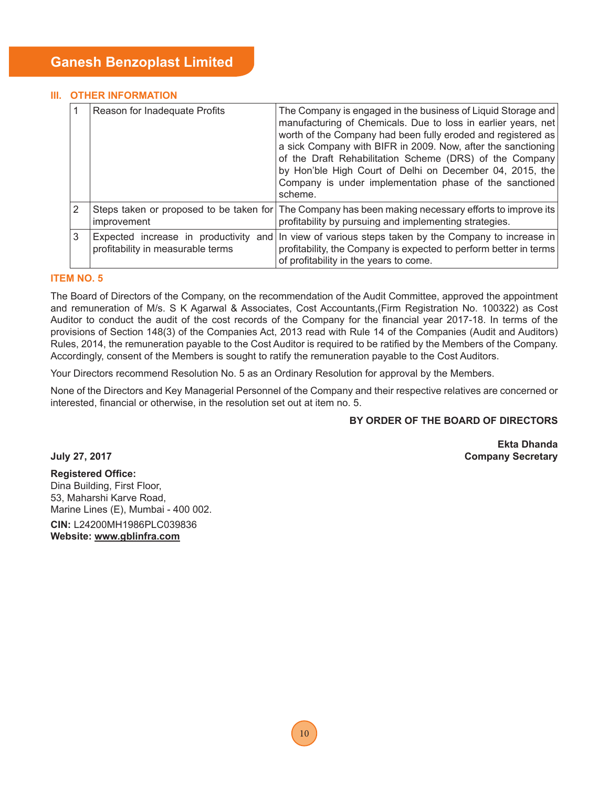### **III. OTHER INFORMATION**

|   | Reason for Inadequate Profits                                          | The Company is engaged in the business of Liquid Storage and<br>manufacturing of Chemicals. Due to loss in earlier years, net<br>worth of the Company had been fully eroded and registered as<br>a sick Company with BIFR in 2009. Now, after the sanctioning<br>of the Draft Rehabilitation Scheme (DRS) of the Company<br>by Hon'ble High Court of Delhi on December 04, 2015, the<br>Company is under implementation phase of the sanctioned<br>scheme. |
|---|------------------------------------------------------------------------|------------------------------------------------------------------------------------------------------------------------------------------------------------------------------------------------------------------------------------------------------------------------------------------------------------------------------------------------------------------------------------------------------------------------------------------------------------|
|   | improvement                                                            | Steps taken or proposed to be taken for The Company has been making necessary efforts to improve its<br>profitability by pursuing and implementing strategies.                                                                                                                                                                                                                                                                                             |
| 3 | Expected increase in productivity<br>profitability in measurable terms | and In view of various steps taken by the Company to increase in<br>profitability, the Company is expected to perform better in terms<br>of profitability in the years to come.                                                                                                                                                                                                                                                                            |

### **ITEM NO. 5**

The Board of Directors of the Company, on the recommendation of the Audit Committee, approved the appointment and remuneration of M/s. S K Agarwal & Associates, Cost Accountants,(Firm Registration No. 100322) as Cost Auditor to conduct the audit of the cost records of the Company for the financial year 2017-18. In terms of the provisions of Section 148(3) of the Companies Act, 2013 read with Rule 14 of the Companies (Audit and Auditors) Rules, 2014, the remuneration payable to the Cost Auditor is required to be ratified by the Members of the Company. Accordingly, consent of the Members is sought to ratify the remuneration payable to the Cost Auditors.

Your Directors recommend Resolution No. 5 as an Ordinary Resolution for approval by the Members.

None of the Directors and Key Managerial Personnel of the Company and their respective relatives are concerned or interested, financial or otherwise, in the resolution set out at item no. 5.

### **BY ORDER OF THE BOARD OF DIRECTORS**

**Ekta Dhanda July 27, 2017 Company Secretary**

**Registered Office:** Dina Building, First Floor, 53, Maharshi Karve Road, Marine Lines (E), Mumbai - 400 002.

**CIN:** L24200MH1986PLC039836 **Website: www.gblinfra.com**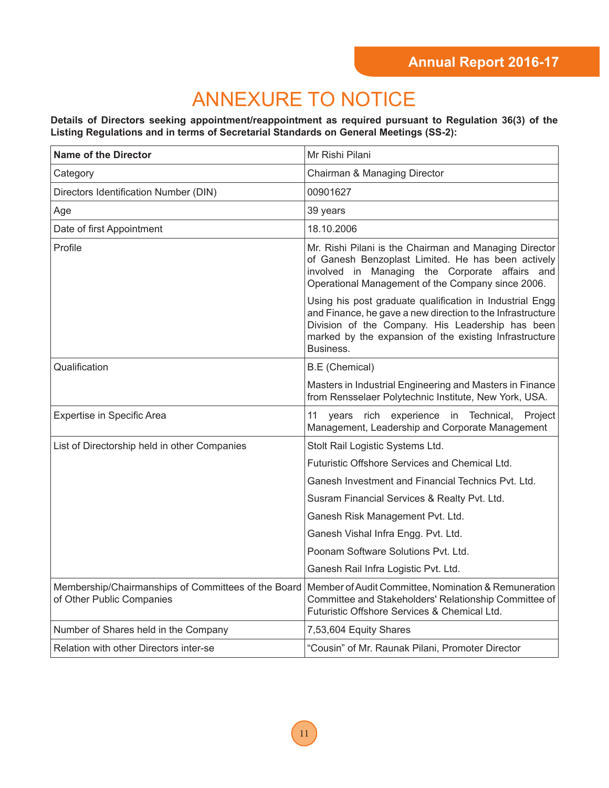# ANNEXURE TO NOTICE

**Details of Directors seeking appointment/reappointment as required pursuant to Regulation 36(3) of the Listing Regulations and in terms of Secretarial Standards on General Meetings (SS-2):**

| <b>Name of the Director</b>                                                      | Mr Rishi Pilani                                                                                                                                                                                                                                   |
|----------------------------------------------------------------------------------|---------------------------------------------------------------------------------------------------------------------------------------------------------------------------------------------------------------------------------------------------|
| Category                                                                         | Chairman & Managing Director                                                                                                                                                                                                                      |
| Directors Identification Number (DIN)                                            | 00901627                                                                                                                                                                                                                                          |
| Age                                                                              | 39 years                                                                                                                                                                                                                                          |
| Date of first Appointment                                                        | 18.10.2006                                                                                                                                                                                                                                        |
| Profile                                                                          | Mr. Rishi Pilani is the Chairman and Managing Director<br>of Ganesh Benzoplast Limited. He has been actively<br>involved in Managing the Corporate affairs and<br>Operational Management of the Company since 2006.                               |
|                                                                                  | Using his post graduate qualification in Industrial Engg<br>and Finance, he gave a new direction to the Infrastructure<br>Division of the Company. His Leadership has been<br>marked by the expansion of the existing Infrastructure<br>Business. |
| Qualification                                                                    | <b>B.E</b> (Chemical)                                                                                                                                                                                                                             |
|                                                                                  | Masters in Industrial Engineering and Masters in Finance<br>from Rensselaer Polytechnic Institute, New York, USA.                                                                                                                                 |
| <b>Expertise in Specific Area</b>                                                | 11<br>rich experience in Technical,<br>vears<br>Project<br>Management, Leadership and Corporate Management                                                                                                                                        |
| List of Directorship held in other Companies                                     | Stolt Rail Logistic Systems Ltd.                                                                                                                                                                                                                  |
|                                                                                  | Futuristic Offshore Services and Chemical Ltd.                                                                                                                                                                                                    |
|                                                                                  | Ganesh Investment and Financial Technics Pvt. Ltd.                                                                                                                                                                                                |
|                                                                                  | Susram Financial Services & Realty Pvt. Ltd.                                                                                                                                                                                                      |
|                                                                                  | Ganesh Risk Management Pvt. Ltd.                                                                                                                                                                                                                  |
|                                                                                  | Ganesh Vishal Infra Engg. Pvt. Ltd.                                                                                                                                                                                                               |
|                                                                                  | Poonam Software Solutions Pyt. Ltd.                                                                                                                                                                                                               |
|                                                                                  | Ganesh Rail Infra Logistic Pvt. Ltd.                                                                                                                                                                                                              |
| Membership/Chairmanships of Committees of the Board<br>of Other Public Companies | Member of Audit Committee, Nomination & Remuneration<br>Committee and Stakeholders' Relationship Committee of<br>Futuristic Offshore Services & Chemical Ltd.                                                                                     |
| Number of Shares held in the Company                                             | 7,53,604 Equity Shares                                                                                                                                                                                                                            |
| Relation with other Directors inter-se                                           | "Cousin" of Mr. Raunak Pilani, Promoter Director                                                                                                                                                                                                  |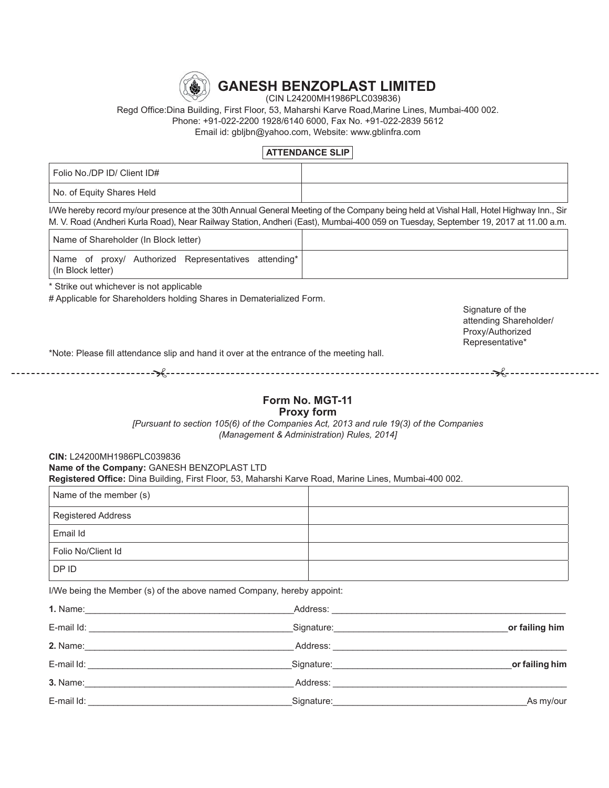

# **GANESH BENZOPLAST LIMITED**

(CIN L24200MH1986PLC039836)

Regd Office:Dina Building, First Floor, 53, Maharshi Karve Road, Marine Lines, Mumbai-400 002. Phone: +91-022-2200 1928/6140 6000, Fax No. +91-022-2839 5612 Email id: gbljbn@yahoo.com, Website: www.gblinfra.com

### **ATTENDANCE SLIP**

| Folio No./DP ID/ Client ID# |  |
|-----------------------------|--|
| No. of Equity Shares Held   |  |

I/We hereby record my/our presence at the 30th Annual General Meeting of the Company being held at Vishal Hall, Hotel Highway Inn., Sir M. V. Road (Andheri Kurla Road), Near Railway Station, Andheri (East), Mumbai-400 059 on Tuesday, September 19, 2017 at 11.00 a.m.

| Name of Shareholder (In Block letter) |  |                                                      |  |
|---------------------------------------|--|------------------------------------------------------|--|
| (In Block letter)                     |  | Name of proxy/ Authorized Representatives attending* |  |

\* Strike out whichever is not applicable

# Applicable for Shareholders holding Shares in Dematerialized Form.

Signature of the attending Shareholder/ Proxy/Authorized Representative\*

\*Note: Please fill attendance slip and hand it over at the entrance of the meeting hall.

# **Form No. MGT-11**

### **Proxy form**

*[Pursuant to section 105(6) of the Companies Act, 2013 and rule 19(3) of the Companies (Management & Administration) Rules, 2014]*

**CIN: L24200MH1986PLC039836** Name of the Company: GANESH BENZOPLAST LTD Registered Office: Dina Building, First Floor, 53, Maharshi Karve Road, Marine Lines, Mumbai-400 002.

| Name of the member (s) |  |
|------------------------|--|
| Registered Address     |  |
| Email Id               |  |
| Folio No/Client Id     |  |
| DP ID                  |  |

I/We being the Member (s) of the above named Company, hereby appoint:

|                | Address:                                                                                                                                                                                                                       | $1.$ Name:                                                                                                     |
|----------------|--------------------------------------------------------------------------------------------------------------------------------------------------------------------------------------------------------------------------------|----------------------------------------------------------------------------------------------------------------|
| or failing him | Signature: experience and the state of the state of the state of the state of the state of the state of the state of the state of the state of the state of the state of the state of the state of the state of the state of t | E-mail Id:<br><u> 1989 - Johann Stein, Amerikaansk politiker (</u>                                             |
|                |                                                                                                                                                                                                                                |                                                                                                                |
| or failing him |                                                                                                                                                                                                                                | E-mail Id: The contract of the contract of the contract of the contract of the contract of the contract of the |
|                | Address:                                                                                                                                                                                                                       | <b>3. Name:</b>                                                                                                |
| As my/our_     | Signature:                                                                                                                                                                                                                     | E-mail Id:                                                                                                     |